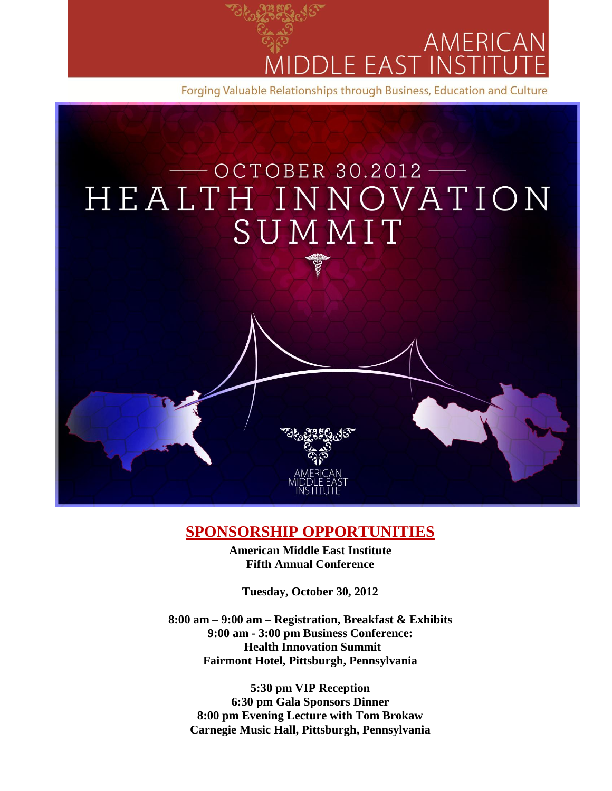



## **SPONSORSHIP OPPORTUNITIES**

**American Middle East Institute Fifth Annual Conference**

**Tuesday, October 30, 2012**

**8:00 am – 9:00 am – Registration, Breakfast & Exhibits 9:00 am - 3:00 pm Business Conference: Health Innovation Summit Fairmont Hotel, Pittsburgh, Pennsylvania**

**5:30 pm VIP Reception 6:30 pm Gala Sponsors Dinner 8:00 pm Evening Lecture with Tom Brokaw Carnegie Music Hall, Pittsburgh, Pennsylvania**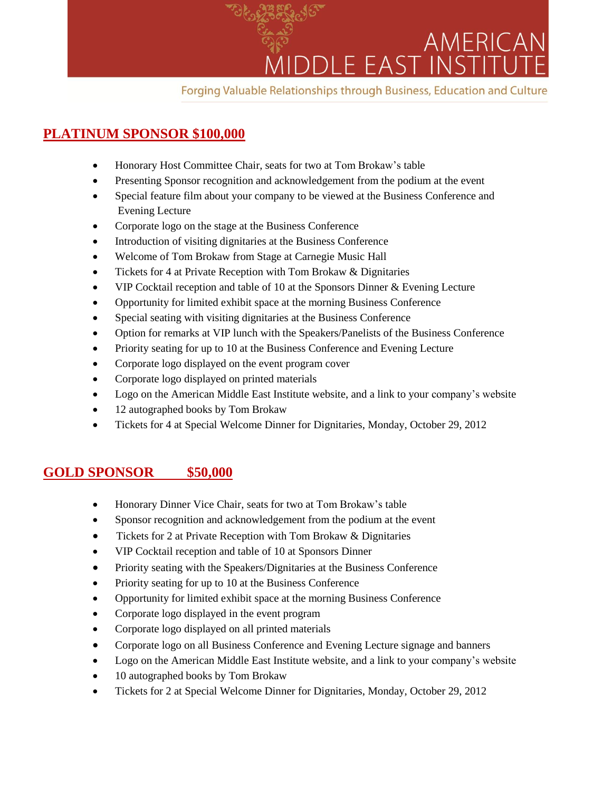

## **PLATINUM SPONSOR \$100,000**

- Honorary Host Committee Chair, seats for two at Tom Brokaw's table
- Presenting Sponsor recognition and acknowledgement from the podium at the event
- Special feature film about your company to be viewed at the Business Conference and Evening Lecture
- Corporate logo on the stage at the Business Conference
- Introduction of visiting dignitaries at the Business Conference
- Welcome of Tom Brokaw from Stage at Carnegie Music Hall
- Tickets for 4 at Private Reception with Tom Brokaw & Dignitaries
- VIP Cocktail reception and table of 10 at the Sponsors Dinner & Evening Lecture
- Opportunity for limited exhibit space at the morning Business Conference
- Special seating with visiting dignitaries at the Business Conference
- Option for remarks at VIP lunch with the Speakers/Panelists of the Business Conference
- Priority seating for up to 10 at the Business Conference and Evening Lecture
- Corporate logo displayed on the event program cover
- Corporate logo displayed on printed materials
- Logo on the American Middle East Institute website, and a link to your company's website
- 12 autographed books by Tom Brokaw
- Tickets for 4 at Special Welcome Dinner for Dignitaries, Monday, October 29, 2012

## **GOLD SPONSOR \$50,000**

- Honorary Dinner Vice Chair, seats for two at Tom Brokaw's table
- Sponsor recognition and acknowledgement from the podium at the event
- Tickets for 2 at Private Reception with Tom Brokaw & Dignitaries
- VIP Cocktail reception and table of 10 at Sponsors Dinner
- Priority seating with the Speakers/Dignitaries at the Business Conference
- Priority seating for up to 10 at the Business Conference
- Opportunity for limited exhibit space at the morning Business Conference
- Corporate logo displayed in the event program
- Corporate logo displayed on all printed materials
- Corporate logo on all Business Conference and Evening Lecture signage and banners
- Logo on the American Middle East Institute website, and a link to your company's website
- 10 autographed books by Tom Brokaw
- Tickets for 2 at Special Welcome Dinner for Dignitaries, Monday, October 29, 2012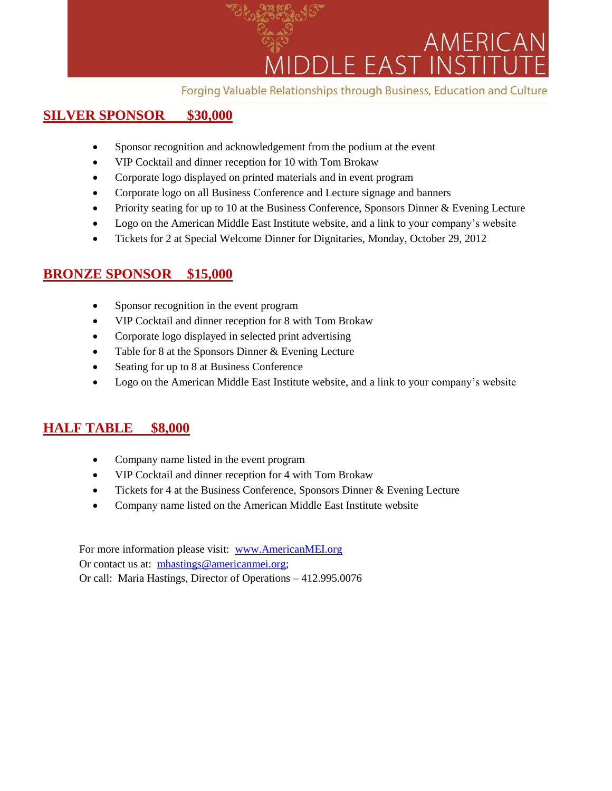

## **SILVER SPONSOR \$30,000**

- Sponsor recognition and acknowledgement from the podium at the event
- VIP Cocktail and dinner reception for 10 with Tom Brokaw
- Corporate logo displayed on printed materials and in event program
- Corporate logo on all Business Conference and Lecture signage and banners
- Priority seating for up to 10 at the Business Conference, Sponsors Dinner & Evening Lecture
- Logo on the American Middle East Institute website, and a link to your company's website
- Tickets for 2 at Special Welcome Dinner for Dignitaries, Monday, October 29, 2012

## **BRONZE SPONSOR \$15,000**

- Sponsor recognition in the event program
- VIP Cocktail and dinner reception for 8 with Tom Brokaw
- Corporate logo displayed in selected print advertising
- Table for 8 at the Sponsors Dinner & Evening Lecture
- Seating for up to 8 at Business Conference
- Logo on the American Middle East Institute website, and a link to your company's website

## **HALF TABLE \$8,000**

- Company name listed in the event program
- VIP Cocktail and dinner reception for 4 with Tom Brokaw
- Tickets for 4 at the Business Conference, Sponsors Dinner & Evening Lecture
- Company name listed on the American Middle East Institute website

For more information please visit: [www.AmericanMEI.org](http://www.americanmei.org/) Or contact us at: [mhastings@americanmei.org;](mailto:mhastings@americanmei.org) Or call: Maria Hastings, Director of Operations – 412.995.0076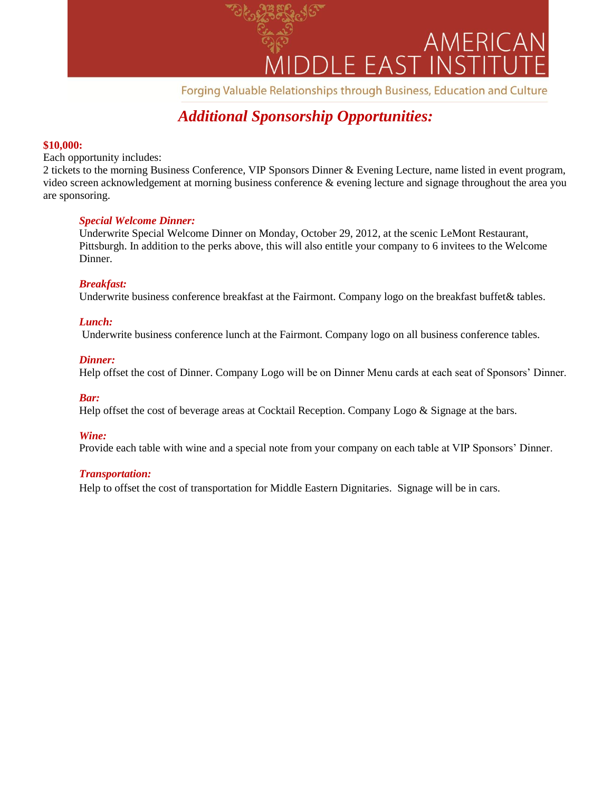

## *Additional Sponsorship Opportunities:*

#### **\$10,000:**

Each opportunity includes:

2 tickets to the morning Business Conference, VIP Sponsors Dinner & Evening Lecture, name listed in event program, video screen acknowledgement at morning business conference & evening lecture and signage throughout the area you are sponsoring.

#### *Special Welcome Dinner:*

Underwrite Special Welcome Dinner on Monday, October 29, 2012, at the scenic LeMont Restaurant, Pittsburgh. In addition to the perks above, this will also entitle your company to 6 invitees to the Welcome Dinner.

#### *Breakfast:*

Underwrite business conference breakfast at the Fairmont. Company logo on the breakfast buffet& tables.

#### *Lunch:*

Underwrite business conference lunch at the Fairmont. Company logo on all business conference tables.

#### *Dinner:*

Help offset the cost of Dinner. Company Logo will be on Dinner Menu cards at each seat of Sponsors' Dinner.

#### *Bar:*

Help offset the cost of beverage areas at Cocktail Reception. Company Logo & Signage at the bars.

#### *Wine:*

Provide each table with wine and a special note from your company on each table at VIP Sponsors' Dinner.

#### *Transportation:*

Help to offset the cost of transportation for Middle Eastern Dignitaries. Signage will be in cars.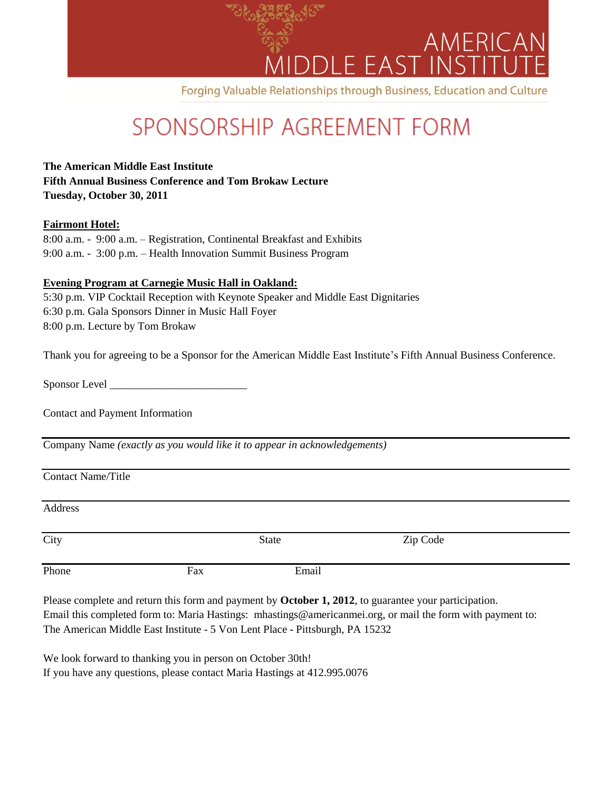

# SPONSORSHIP AGREEMENT FORM

**The American Middle East Institute Fifth Annual Business Conference and Tom Brokaw Lecture Tuesday, October 30, 2011**

#### **Fairmont Hotel:**

| 8:00 a.m. - 9:00 a.m. – Registration, Continental Breakfast and Exhibits |
|--------------------------------------------------------------------------|
| 9:00 a.m. - 3:00 p.m. – Health Innovation Summit Business Program        |

#### **Evening Program at Carnegie Music Hall in Oakland:**

5:30 p.m. VIP Cocktail Reception with Keynote Speaker and Middle East Dignitaries 6:30 p.m. Gala Sponsors Dinner in Music Hall Foyer 8:00 p.m. Lecture by Tom Brokaw

Thank you for agreeing to be a Sponsor for the American Middle East Institute's Fifth Annual Business Conference.

Sponsor Level \_\_\_\_\_\_\_\_\_\_\_\_\_\_\_\_\_\_\_\_\_\_\_\_\_

Contact and Payment Information

Company Name *(exactly as you would like it to appear in acknowledgements)*

Contact Name/Title

Address

| City  | State |       | Zip Code |
|-------|-------|-------|----------|
| Phone | Fax   | Email |          |

Please complete and return this form and payment by **October 1, 2012**, to guarantee your participation. Email this completed form to: Maria Hastings: mhastings@americanmei.org, or mail the form with payment to: The American Middle East Institute - 5 Von Lent Place - Pittsburgh, PA 15232

We look forward to thanking you in person on October 30th! If you have any questions, please contact Maria Hastings at 412.995.0076